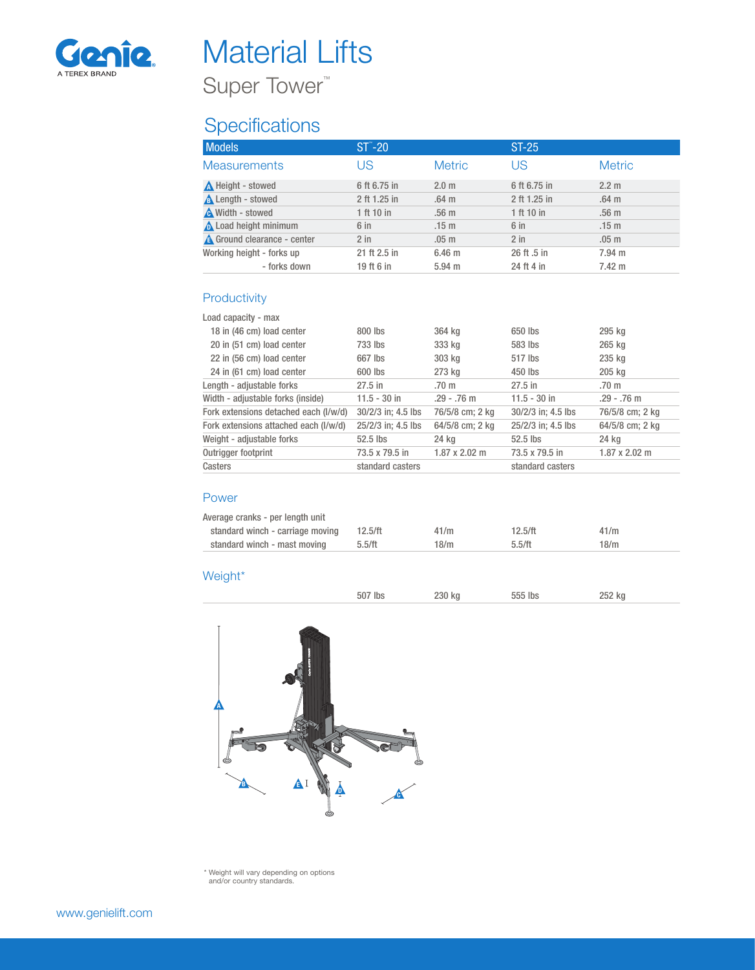

## Material Lifts

Super Tower<sup>™</sup>

## **Specifications**

| <b>Models</b>                      | $ST^*$ -20   |                   | $ST-25$      |                  |
|------------------------------------|--------------|-------------------|--------------|------------------|
| <b>Measurements</b>                | US           | <b>Metric</b>     | US           | <b>Metric</b>    |
| Neight - stowed                    | 6 ft 6.75 in | 2.0 <sub>m</sub>  | 6 ft 6.75 in | 2.2 <sub>m</sub> |
| <b>A</b> Length - stowed           | 2 ft 1.25 in | .64 <sub>m</sub>  | 2 ft 1.25 in | .64 <sub>m</sub> |
| Width - stowed                     | 1 ft 10 in   | .56 <sub>m</sub>  | 1 ft 10 in   | .56 <sub>m</sub> |
| Load height minimum                | $6$ in       | .15 <sub>m</sub>  | 6 in         | .15 <sub>m</sub> |
| <b>A</b> Ground clearance - center | $2$ in       | .05 <sub>m</sub>  | $2$ in       | .05 <sub>m</sub> |
| Working height - forks up          | 21 ft 2.5 in | 6.46 <sub>m</sub> | 26 ft .5 in  | 7.94 m           |
| - forks down                       | 19 ft 6 in   | $5.94$ m          | 24 ft 4 in   | $7.42 \text{ m}$ |
|                                    |              |                   |              |                  |
| Productivity                       |              |                   |              |                  |

### Load capacity - max

| Load capacity - max                   |                    |                      |                    |                      |
|---------------------------------------|--------------------|----------------------|--------------------|----------------------|
| 18 in (46 cm) load center             | 800 lbs            | 364 kg               | 650 lbs            | 295 kg               |
| 20 in (51 cm) load center             | 733 lbs            | 333 kg               | 583 lbs            | 265 kg               |
| 22 in (56 cm) load center             | 667 lbs            | 303 kg               | 517 lbs            | 235 kg               |
| 24 in (61 cm) load center             | 600 lbs            | 273 kg               | 450 lbs            | 205 kg               |
| Length - adjustable forks             | $27.5$ in          | .70 <sub>m</sub>     | $27.5$ in          | .70 m                |
| Width - adjustable forks (inside)     | $11.5 - 30$ in     | $.29 - .76$ m        | $11.5 - 30$ in     | $.29 - .76$ m        |
| Fork extensions detached each (I/w/d) | 30/2/3 in; 4.5 lbs | 76/5/8 cm; 2 kg      | 30/2/3 in: 4.5 lbs | 76/5/8 cm; 2 kg      |
| Fork extensions attached each (I/w/d) | 25/2/3 in; 4.5 lbs | 64/5/8 cm; 2 kg      | 25/2/3 in: 4.5 lbs | 64/5/8 cm; 2 kg      |
| Weight - adjustable forks             | 52.5 lbs           | 24 kg                | 52.5 lbs           | 24 kg                |
| Outrigger footprint                   | 73.5 x 79.5 in     | $1.87 \times 2.02$ m | 73.5 x 79.5 in     | $1.87 \times 2.02$ m |
| Casters                               | standard casters   |                      | standard casters   |                      |
|                                       |                    |                      |                    |                      |

### Power

| Average cranks - per length unit |                                  |         |      |         |      |
|----------------------------------|----------------------------------|---------|------|---------|------|
|                                  | standard winch - carriage moving | 12.5/ft | 41/m | 12.5/ft | 41/m |
|                                  | standard winch - mast moving     | 5.5/ft  | 18/m | 5.5/ft  | 18/m |
|                                  |                                  |         |      |         |      |

#### Weight\*

| lbs | 230 kg | טוו. | 252 kg |
|-----|--------|------|--------|
|     |        |      |        |



\* Weight will vary depending on options and/or country standards.